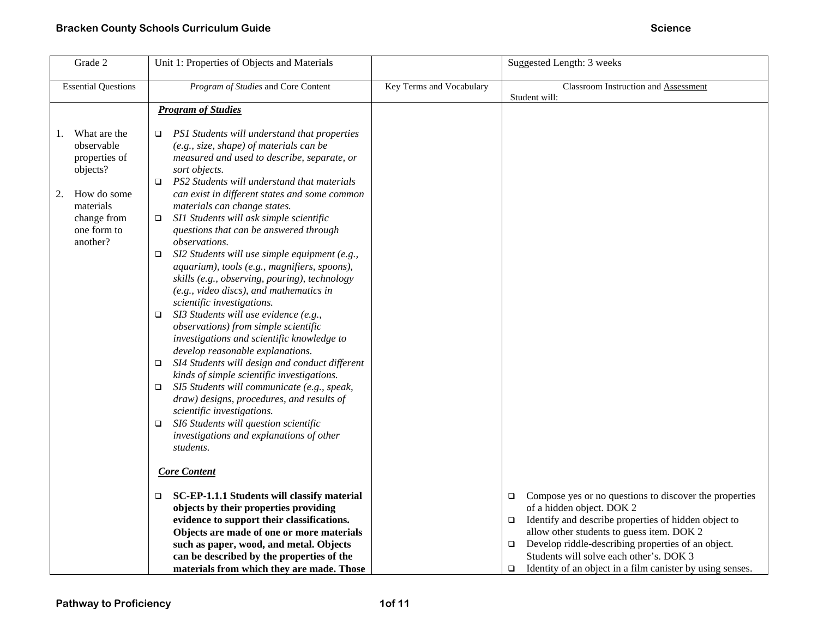| Grade 2                                                                                                                                   | Unit 1: Properties of Objects and Materials                                                                                                                                                                                                                                                                                                                                                                                                                                                                                                                                                                                                                                                                                                                                                                                                                                                                                                                                                                                                                                                                                                                                                               |                          | Suggested Length: 3 weeks                                                                                                                                                                                                                                                                                                                                                                      |
|-------------------------------------------------------------------------------------------------------------------------------------------|-----------------------------------------------------------------------------------------------------------------------------------------------------------------------------------------------------------------------------------------------------------------------------------------------------------------------------------------------------------------------------------------------------------------------------------------------------------------------------------------------------------------------------------------------------------------------------------------------------------------------------------------------------------------------------------------------------------------------------------------------------------------------------------------------------------------------------------------------------------------------------------------------------------------------------------------------------------------------------------------------------------------------------------------------------------------------------------------------------------------------------------------------------------------------------------------------------------|--------------------------|------------------------------------------------------------------------------------------------------------------------------------------------------------------------------------------------------------------------------------------------------------------------------------------------------------------------------------------------------------------------------------------------|
| <b>Essential Questions</b>                                                                                                                | Program of Studies and Core Content                                                                                                                                                                                                                                                                                                                                                                                                                                                                                                                                                                                                                                                                                                                                                                                                                                                                                                                                                                                                                                                                                                                                                                       | Key Terms and Vocabulary | Classroom Instruction and Assessment<br>Student will:                                                                                                                                                                                                                                                                                                                                          |
|                                                                                                                                           | <b>Program of Studies</b>                                                                                                                                                                                                                                                                                                                                                                                                                                                                                                                                                                                                                                                                                                                                                                                                                                                                                                                                                                                                                                                                                                                                                                                 |                          |                                                                                                                                                                                                                                                                                                                                                                                                |
| What are the<br>1.<br>observable<br>properties of<br>objects?<br>How do some<br>2.<br>materials<br>change from<br>one form to<br>another? | PS1 Students will understand that properties<br>❏<br>(e.g., size, shape) of materials can be<br>measured and used to describe, separate, or<br>sort objects.<br>PS2 Students will understand that materials<br>$\Box$<br>can exist in different states and some common<br>materials can change states.<br>SI1 Students will ask simple scientific<br>$\Box$<br>questions that can be answered through<br><i>observations.</i><br>SI2 Students will use simple equipment (e.g.,<br>$\Box$<br>aquarium), tools (e.g., magnifiers, spoons),<br>skills (e.g., observing, pouring), technology<br>(e.g., video discs), and mathematics in<br>scientific investigations.<br>SI3 Students will use evidence (e.g.,<br>$\Box$<br>observations) from simple scientific<br>investigations and scientific knowledge to<br>develop reasonable explanations.<br>SI4 Students will design and conduct different<br>$\Box$<br>kinds of simple scientific investigations.<br>SI5 Students will communicate (e.g., speak,<br>$\Box$<br>draw) designs, procedures, and results of<br>scientific investigations.<br>SI6 Students will question scientific<br>$\Box$<br>investigations and explanations of other<br>students. |                          |                                                                                                                                                                                                                                                                                                                                                                                                |
|                                                                                                                                           | <b>Core Content</b>                                                                                                                                                                                                                                                                                                                                                                                                                                                                                                                                                                                                                                                                                                                                                                                                                                                                                                                                                                                                                                                                                                                                                                                       |                          |                                                                                                                                                                                                                                                                                                                                                                                                |
|                                                                                                                                           | SC-EP-1.1.1 Students will classify material<br>$\Box$<br>objects by their properties providing<br>evidence to support their classifications.<br>Objects are made of one or more materials<br>such as paper, wood, and metal. Objects<br>can be described by the properties of the<br>materials from which they are made. Those                                                                                                                                                                                                                                                                                                                                                                                                                                                                                                                                                                                                                                                                                                                                                                                                                                                                            |                          | Compose yes or no questions to discover the properties<br>$\Box$<br>of a hidden object. DOK 2<br>Identify and describe properties of hidden object to<br>$\Box$<br>allow other students to guess item. DOK 2<br>Develop riddle-describing properties of an object.<br>$\Box$<br>Students will solve each other's. DOK 3<br>Identity of an object in a film canister by using senses.<br>$\Box$ |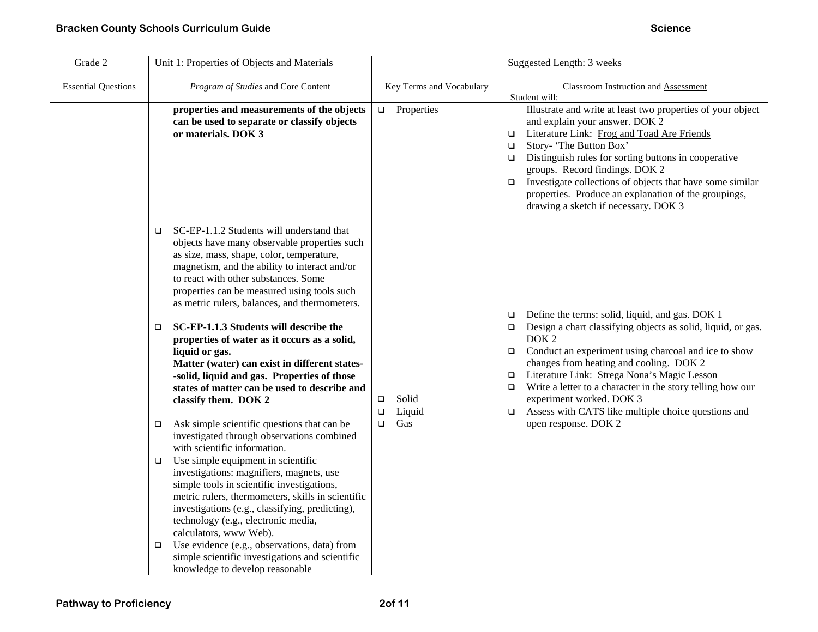| Grade 2                    | Unit 1: Properties of Objects and Materials                                                                                                                                                                                                                                                                                                                                                                                                                                                                                                                                                                                                                                                                                                                                                                                                                                                                                                                                                                                                                                                                                                                                                                                                       |                                                      | Suggested Length: 3 weeks                                                                                                                                                                                                                                                                                                                                                                                                                                                                                                  |
|----------------------------|---------------------------------------------------------------------------------------------------------------------------------------------------------------------------------------------------------------------------------------------------------------------------------------------------------------------------------------------------------------------------------------------------------------------------------------------------------------------------------------------------------------------------------------------------------------------------------------------------------------------------------------------------------------------------------------------------------------------------------------------------------------------------------------------------------------------------------------------------------------------------------------------------------------------------------------------------------------------------------------------------------------------------------------------------------------------------------------------------------------------------------------------------------------------------------------------------------------------------------------------------|------------------------------------------------------|----------------------------------------------------------------------------------------------------------------------------------------------------------------------------------------------------------------------------------------------------------------------------------------------------------------------------------------------------------------------------------------------------------------------------------------------------------------------------------------------------------------------------|
| <b>Essential Questions</b> | Program of Studies and Core Content                                                                                                                                                                                                                                                                                                                                                                                                                                                                                                                                                                                                                                                                                                                                                                                                                                                                                                                                                                                                                                                                                                                                                                                                               | Key Terms and Vocabulary                             | Classroom Instruction and Assessment<br>Student will:                                                                                                                                                                                                                                                                                                                                                                                                                                                                      |
|                            | properties and measurements of the objects<br>can be used to separate or classify objects<br>or materials. DOK 3                                                                                                                                                                                                                                                                                                                                                                                                                                                                                                                                                                                                                                                                                                                                                                                                                                                                                                                                                                                                                                                                                                                                  | $\Box$ Properties                                    | Illustrate and write at least two properties of your object<br>and explain your answer. DOK 2<br>Literature Link: Frog and Toad Are Friends<br>$\Box$<br>Story- 'The Button Box'<br>$\Box$<br>Distinguish rules for sorting buttons in cooperative<br>$\Box$<br>groups. Record findings. DOK 2<br>Investigate collections of objects that have some similar<br>$\Box$<br>properties. Produce an explanation of the groupings,<br>drawing a sketch if necessary. DOK 3                                                      |
|                            | SC-EP-1.1.2 Students will understand that<br>$\Box$<br>objects have many observable properties such<br>as size, mass, shape, color, temperature,<br>magnetism, and the ability to interact and/or<br>to react with other substances. Some<br>properties can be measured using tools such<br>as metric rulers, balances, and thermometers.<br>SC-EP-1.1.3 Students will describe the<br>$\Box$<br>properties of water as it occurs as a solid,<br>liquid or gas.<br>Matter (water) can exist in different states-<br>-solid, liquid and gas. Properties of those<br>states of matter can be used to describe and<br>classify them. DOK 2<br>Ask simple scientific questions that can be<br>$\Box$<br>investigated through observations combined<br>with scientific information.<br>Use simple equipment in scientific<br>$\Box$<br>investigations: magnifiers, magnets, use<br>simple tools in scientific investigations,<br>metric rulers, thermometers, skills in scientific<br>investigations (e.g., classifying, predicting),<br>technology (e.g., electronic media,<br>calculators, www Web).<br>Use evidence (e.g., observations, data) from<br>$\Box$<br>simple scientific investigations and scientific<br>knowledge to develop reasonable | Solid<br>$\Box$<br>Liquid<br>$\Box$<br>Gas<br>$\Box$ | Define the terms: solid, liquid, and gas. DOK 1<br>$\Box$<br>Design a chart classifying objects as solid, liquid, or gas.<br>$\Box$<br>DOK <sub>2</sub><br>Conduct an experiment using charcoal and ice to show<br>$\Box$<br>changes from heating and cooling. DOK 2<br>Literature Link: Strega Nona's Magic Lesson<br>$\Box$<br>Write a letter to a character in the story telling how our<br>$\Box$<br>experiment worked. DOK 3<br>Assess with CATS like multiple choice questions and<br>$\Box$<br>open response. DOK 2 |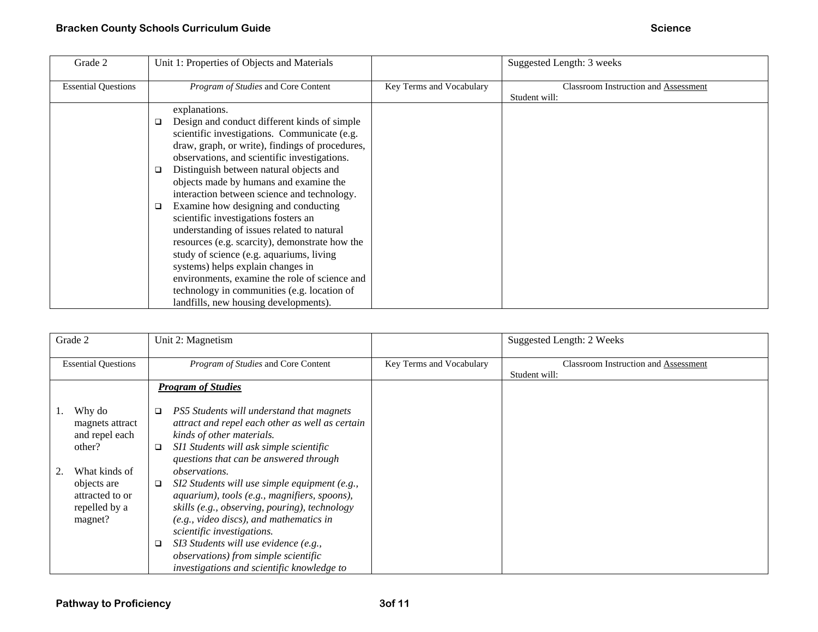| Grade 2                    | Unit 1: Properties of Objects and Materials       |                          | Suggested Length: 3 weeks                   |
|----------------------------|---------------------------------------------------|--------------------------|---------------------------------------------|
| <b>Essential Questions</b> | Program of Studies and Core Content               | Key Terms and Vocabulary | <b>Classroom Instruction and Assessment</b> |
|                            |                                                   |                          | Student will:                               |
|                            | explanations.                                     |                          |                                             |
|                            | Design and conduct different kinds of simple<br>❏ |                          |                                             |
|                            | scientific investigations. Communicate (e.g.      |                          |                                             |
|                            | draw, graph, or write), findings of procedures,   |                          |                                             |
|                            | observations, and scientific investigations.      |                          |                                             |
|                            | Distinguish between natural objects and<br>❏      |                          |                                             |
|                            | objects made by humans and examine the            |                          |                                             |
|                            | interaction between science and technology.       |                          |                                             |
|                            | Examine how designing and conducting<br>❏         |                          |                                             |
|                            | scientific investigations fosters an              |                          |                                             |
|                            | understanding of issues related to natural        |                          |                                             |
|                            | resources (e.g. scarcity), demonstrate how the    |                          |                                             |
|                            | study of science (e.g. aquariums, living          |                          |                                             |
|                            | systems) helps explain changes in                 |                          |                                             |
|                            | environments, examine the role of science and     |                          |                                             |
|                            | technology in communities (e.g. location of       |                          |                                             |
|                            | landfills, new housing developments).             |                          |                                             |

| Grade 2                                                                                                                              | Unit 2: Magnetism                                                                                                                                                                                                                                                                                                                                                                                                                                                                                                                                                                                     |                          | Suggested Length: 2 Weeks                                    |
|--------------------------------------------------------------------------------------------------------------------------------------|-------------------------------------------------------------------------------------------------------------------------------------------------------------------------------------------------------------------------------------------------------------------------------------------------------------------------------------------------------------------------------------------------------------------------------------------------------------------------------------------------------------------------------------------------------------------------------------------------------|--------------------------|--------------------------------------------------------------|
| <b>Essential Questions</b>                                                                                                           | <i>Program of Studies</i> and Core Content                                                                                                                                                                                                                                                                                                                                                                                                                                                                                                                                                            | Key Terms and Vocabulary | <b>Classroom Instruction and Assessment</b><br>Student will: |
|                                                                                                                                      | <b>Program of Studies</b>                                                                                                                                                                                                                                                                                                                                                                                                                                                                                                                                                                             |                          |                                                              |
| Why do<br>magnets attract<br>and repel each<br>other?<br>What kinds of<br>objects are<br>attracted to or<br>repelled by a<br>magnet? | PS5 Students will understand that magnets<br>attract and repel each other as well as certain<br>kinds of other materials.<br>SI1 Students will ask simple scientific<br>❏<br>questions that can be answered through<br><i>observations.</i><br>SI2 Students will use simple equipment (e.g.,<br>aquarium), tools (e.g., magnifiers, spoons),<br>skills (e.g., observing, pouring), technology<br>(e.g., video discs), and mathematics in<br>scientific investigations.<br>SI3 Students will use evidence (e.g.,<br>observations) from simple scientific<br>investigations and scientific knowledge to |                          |                                                              |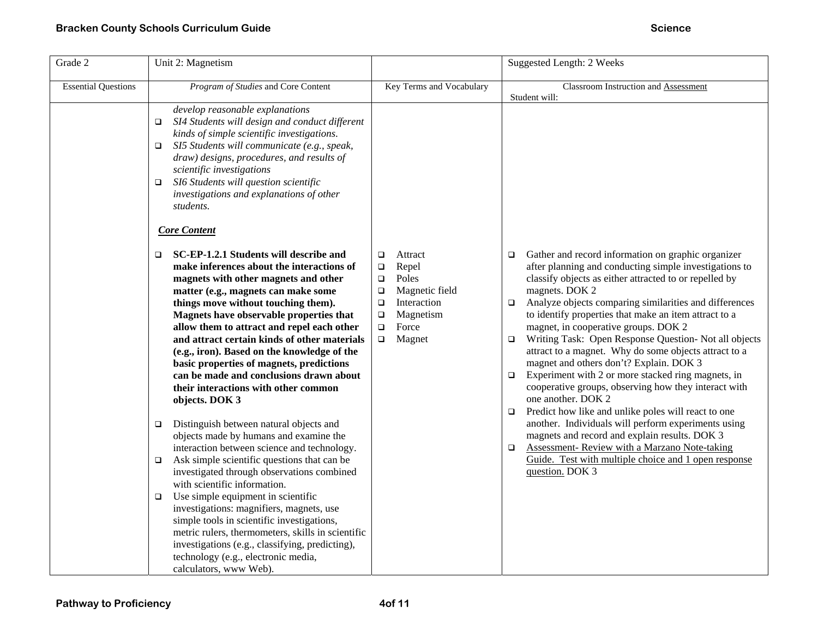| Grade 2                    | Unit 2: Magnetism                                                                                                                                                                                                                                                                                                                                                                                                                                                                                                                                                                                                                                                                                                                                                                                                                                                                                                                                                                                                                           |                                                                                                                                                                            | Suggested Length: 2 Weeks                                                                                                                                                                                                                                                                                                                                                                                                                                                                                                                                                                                                                                                                                                                                                                                                                                                                                                                                                                                         |
|----------------------------|---------------------------------------------------------------------------------------------------------------------------------------------------------------------------------------------------------------------------------------------------------------------------------------------------------------------------------------------------------------------------------------------------------------------------------------------------------------------------------------------------------------------------------------------------------------------------------------------------------------------------------------------------------------------------------------------------------------------------------------------------------------------------------------------------------------------------------------------------------------------------------------------------------------------------------------------------------------------------------------------------------------------------------------------|----------------------------------------------------------------------------------------------------------------------------------------------------------------------------|-------------------------------------------------------------------------------------------------------------------------------------------------------------------------------------------------------------------------------------------------------------------------------------------------------------------------------------------------------------------------------------------------------------------------------------------------------------------------------------------------------------------------------------------------------------------------------------------------------------------------------------------------------------------------------------------------------------------------------------------------------------------------------------------------------------------------------------------------------------------------------------------------------------------------------------------------------------------------------------------------------------------|
| <b>Essential Questions</b> | Program of Studies and Core Content                                                                                                                                                                                                                                                                                                                                                                                                                                                                                                                                                                                                                                                                                                                                                                                                                                                                                                                                                                                                         | Key Terms and Vocabulary                                                                                                                                                   | Classroom Instruction and Assessment<br>Student will:                                                                                                                                                                                                                                                                                                                                                                                                                                                                                                                                                                                                                                                                                                                                                                                                                                                                                                                                                             |
|                            | develop reasonable explanations<br>SI4 Students will design and conduct different<br>$\Box$<br>kinds of simple scientific investigations.<br>SI5 Students will communicate (e.g., speak,<br>$\Box$<br>draw) designs, procedures, and results of<br>scientific investigations<br>SI6 Students will question scientific<br>□<br>investigations and explanations of other<br>students.                                                                                                                                                                                                                                                                                                                                                                                                                                                                                                                                                                                                                                                         |                                                                                                                                                                            |                                                                                                                                                                                                                                                                                                                                                                                                                                                                                                                                                                                                                                                                                                                                                                                                                                                                                                                                                                                                                   |
|                            | <b>Core Content</b>                                                                                                                                                                                                                                                                                                                                                                                                                                                                                                                                                                                                                                                                                                                                                                                                                                                                                                                                                                                                                         |                                                                                                                                                                            |                                                                                                                                                                                                                                                                                                                                                                                                                                                                                                                                                                                                                                                                                                                                                                                                                                                                                                                                                                                                                   |
|                            | SC-EP-1.2.1 Students will describe and<br>□<br>make inferences about the interactions of<br>magnets with other magnets and other<br>matter (e.g., magnets can make some<br>things move without touching them).<br>Magnets have observable properties that<br>allow them to attract and repel each other<br>and attract certain kinds of other materials<br>(e.g., iron). Based on the knowledge of the<br>basic properties of magnets, predictions<br>can be made and conclusions drawn about<br>their interactions with other common<br>objects. DOK 3<br>Distinguish between natural objects and<br>$\Box$<br>objects made by humans and examine the<br>interaction between science and technology.<br>Ask simple scientific questions that can be<br>$\Box$<br>investigated through observations combined<br>with scientific information.<br>Use simple equipment in scientific<br>$\Box$<br>investigations: magnifiers, magnets, use<br>simple tools in scientific investigations,<br>metric rulers, thermometers, skills in scientific | $\Box$<br>Attract<br>Repel<br>$\Box$<br>Poles<br>$\Box$<br>Magnetic field<br>$\Box$<br>Interaction<br>$\Box$<br>Magnetism<br>$\Box$<br>Force<br>$\Box$<br>Magnet<br>$\Box$ | Gather and record information on graphic organizer<br>$\Box$<br>after planning and conducting simple investigations to<br>classify objects as either attracted to or repelled by<br>magnets. DOK 2<br>Analyze objects comparing similarities and differences<br>$\Box$<br>to identify properties that make an item attract to a<br>magnet, in cooperative groups. DOK 2<br>Writing Task: Open Response Question- Not all objects<br>$\Box$<br>attract to a magnet. Why do some objects attract to a<br>magnet and others don't? Explain. DOK 3<br>Experiment with 2 or more stacked ring magnets, in<br>$\Box$<br>cooperative groups, observing how they interact with<br>one another. DOK 2<br>Predict how like and unlike poles will react to one<br>$\Box$<br>another. Individuals will perform experiments using<br>magnets and record and explain results. DOK 3<br><b>Assessment-Review with a Marzano Note-taking</b><br>$\Box$<br>Guide. Test with multiple choice and 1 open response<br>question. DOK 3 |
|                            | investigations (e.g., classifying, predicting),<br>technology (e.g., electronic media,<br>calculators, www Web).                                                                                                                                                                                                                                                                                                                                                                                                                                                                                                                                                                                                                                                                                                                                                                                                                                                                                                                            |                                                                                                                                                                            |                                                                                                                                                                                                                                                                                                                                                                                                                                                                                                                                                                                                                                                                                                                                                                                                                                                                                                                                                                                                                   |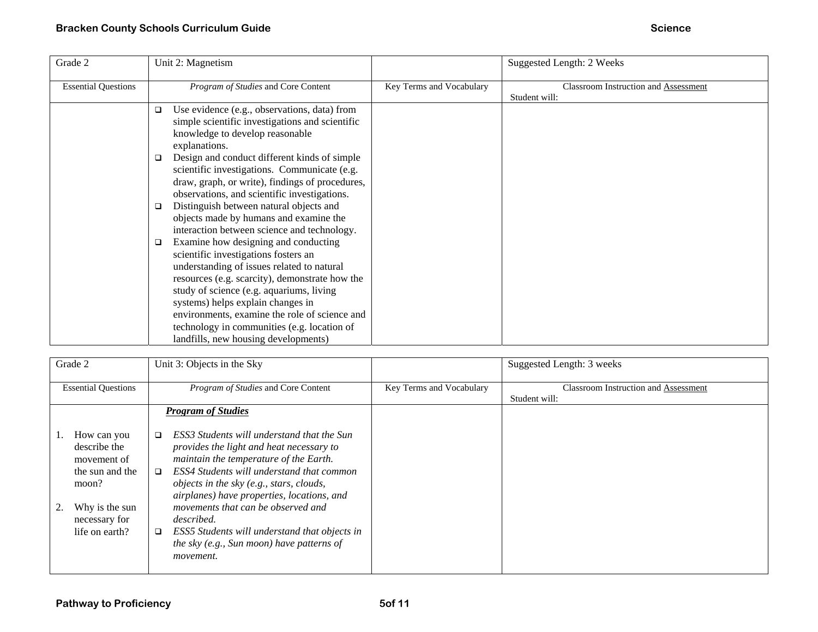| Grade 2                    | Unit 2: Magnetism                                 |                          | Suggested Length: 2 Weeks            |
|----------------------------|---------------------------------------------------|--------------------------|--------------------------------------|
| <b>Essential Questions</b> | Program of Studies and Core Content               | Key Terms and Vocabulary | Classroom Instruction and Assessment |
|                            |                                                   |                          | Student will:                        |
|                            | Use evidence (e.g., observations, data) from<br>□ |                          |                                      |
|                            | simple scientific investigations and scientific   |                          |                                      |
|                            | knowledge to develop reasonable                   |                          |                                      |
|                            | explanations.                                     |                          |                                      |
|                            | Design and conduct different kinds of simple<br>❏ |                          |                                      |
|                            | scientific investigations. Communicate (e.g.      |                          |                                      |
|                            | draw, graph, or write), findings of procedures,   |                          |                                      |
|                            | observations, and scientific investigations.      |                          |                                      |
|                            | Distinguish between natural objects and<br>❏      |                          |                                      |
|                            | objects made by humans and examine the            |                          |                                      |
|                            | interaction between science and technology.       |                          |                                      |
|                            | Examine how designing and conducting<br>❏         |                          |                                      |
|                            | scientific investigations fosters an              |                          |                                      |
|                            | understanding of issues related to natural        |                          |                                      |
|                            | resources (e.g. scarcity), demonstrate how the    |                          |                                      |
|                            | study of science (e.g. aquariums, living          |                          |                                      |
|                            | systems) helps explain changes in                 |                          |                                      |
|                            | environments, examine the role of science and     |                          |                                      |
|                            | technology in communities (e.g. location of       |                          |                                      |
|                            | landfills, new housing developments)              |                          |                                      |

| Grade 2                                                                                                                           | Unit 3: Objects in the Sky                                                                                                                                                                                                                                                                                                                                                                                                                                   |                          | Suggested Length: 3 weeks                             |
|-----------------------------------------------------------------------------------------------------------------------------------|--------------------------------------------------------------------------------------------------------------------------------------------------------------------------------------------------------------------------------------------------------------------------------------------------------------------------------------------------------------------------------------------------------------------------------------------------------------|--------------------------|-------------------------------------------------------|
| <b>Essential Questions</b>                                                                                                        | <i>Program of Studies</i> and Core Content                                                                                                                                                                                                                                                                                                                                                                                                                   | Key Terms and Vocabulary | Classroom Instruction and Assessment<br>Student will: |
|                                                                                                                                   | <b>Program of Studies</b>                                                                                                                                                                                                                                                                                                                                                                                                                                    |                          |                                                       |
| How can you<br>describe the<br>movement of<br>the sun and the<br>moon?<br>Why is the sun<br>2.<br>necessary for<br>life on earth? | ESS3 Students will understand that the Sun<br>□<br>provides the light and heat necessary to<br>maintain the temperature of the Earth.<br>ESS4 Students will understand that common<br>□<br>objects in the sky (e.g., stars, clouds,<br>airplanes) have properties, locations, and<br>movements that can be observed and<br>described.<br>ESS5 Students will understand that objects in<br>□<br>the sky (e.g., Sun moon) have patterns of<br><i>movement.</i> |                          |                                                       |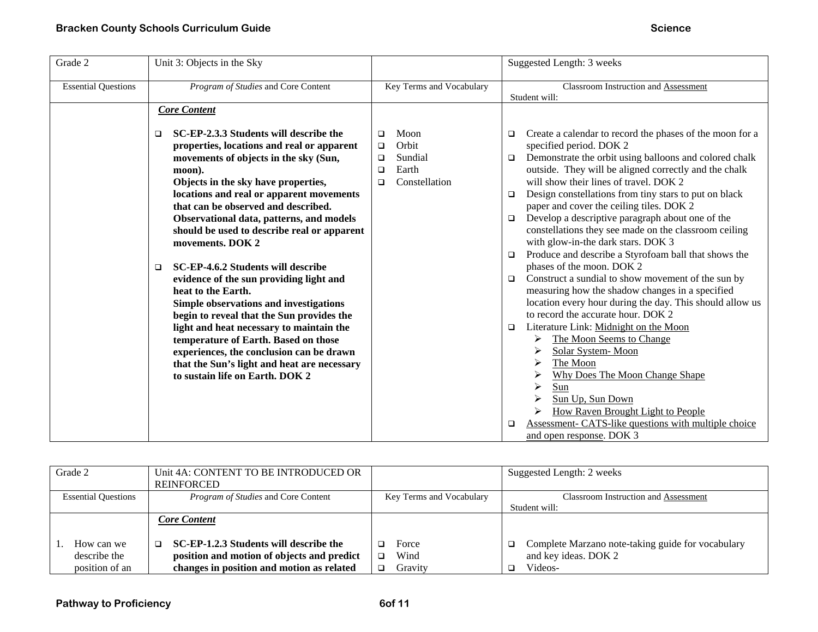| Grade 2<br>Unit 3: Objects in the Sky                                                                                                                                                                                                                                                                                                                                                                                                                                                                                                                                                                                                                                                                                                                                                                                                                                                                         | Suggested Length: 3 weeks                                                                                                                                                                                                                                                                                                                                                                                                                                                                                                                                                                                                                                                                                                                                                                                                                                                                                                                                                                                                                                                                                                                                                                           |
|---------------------------------------------------------------------------------------------------------------------------------------------------------------------------------------------------------------------------------------------------------------------------------------------------------------------------------------------------------------------------------------------------------------------------------------------------------------------------------------------------------------------------------------------------------------------------------------------------------------------------------------------------------------------------------------------------------------------------------------------------------------------------------------------------------------------------------------------------------------------------------------------------------------|-----------------------------------------------------------------------------------------------------------------------------------------------------------------------------------------------------------------------------------------------------------------------------------------------------------------------------------------------------------------------------------------------------------------------------------------------------------------------------------------------------------------------------------------------------------------------------------------------------------------------------------------------------------------------------------------------------------------------------------------------------------------------------------------------------------------------------------------------------------------------------------------------------------------------------------------------------------------------------------------------------------------------------------------------------------------------------------------------------------------------------------------------------------------------------------------------------|
| Program of Studies and Core Content<br><b>Essential Questions</b><br>Key Terms and Vocabulary                                                                                                                                                                                                                                                                                                                                                                                                                                                                                                                                                                                                                                                                                                                                                                                                                 | Classroom Instruction and Assessment<br>Student will:                                                                                                                                                                                                                                                                                                                                                                                                                                                                                                                                                                                                                                                                                                                                                                                                                                                                                                                                                                                                                                                                                                                                               |
| <b>Core Content</b>                                                                                                                                                                                                                                                                                                                                                                                                                                                                                                                                                                                                                                                                                                                                                                                                                                                                                           |                                                                                                                                                                                                                                                                                                                                                                                                                                                                                                                                                                                                                                                                                                                                                                                                                                                                                                                                                                                                                                                                                                                                                                                                     |
| SC-EP-2.3.3 Students will describe the<br>Moon<br>$\Box$<br>◻<br>Orbit<br>properties, locations and real or apparent<br>$\Box$<br>Sundial<br>movements of objects in the sky (Sun,<br>$\Box$<br>Earth<br>moon).<br>$\Box$<br>Constellation<br>Objects in the sky have properties,<br>□<br>locations and real or apparent movements<br>that can be observed and described.<br>Observational data, patterns, and models<br>should be used to describe real or apparent<br>movements. DOK 2<br>SC-EP-4.6.2 Students will describe<br>◻<br>evidence of the sun providing light and<br>heat to the Earth.<br>Simple observations and investigations<br>begin to reveal that the Sun provides the<br>light and heat necessary to maintain the<br>temperature of Earth. Based on those<br>experiences, the conclusion can be drawn<br>that the Sun's light and heat are necessary<br>to sustain life on Earth, DOK 2 | Create a calendar to record the phases of the moon for a<br>$\Box$<br>specified period. DOK 2<br>Demonstrate the orbit using balloons and colored chalk<br>$\Box$<br>outside. They will be aligned correctly and the chalk<br>will show their lines of travel. DOK 2<br>Design constellations from tiny stars to put on black<br>□<br>paper and cover the ceiling tiles. DOK 2<br>Develop a descriptive paragraph about one of the<br>$\Box$<br>constellations they see made on the classroom ceiling<br>with glow-in-the dark stars. DOK 3<br>Produce and describe a Styrofoam ball that shows the<br>$\Box$<br>phases of the moon. DOK 2<br>Construct a sundial to show movement of the sun by<br>$\Box$<br>measuring how the shadow changes in a specified<br>location every hour during the day. This should allow us<br>to record the accurate hour. DOK 2<br>Literature Link: Midnight on the Moon<br>$\Box$<br>The Moon Seems to Change<br>➤<br>Solar System-Moon<br>The Moon<br>⋗<br>Why Does The Moon Change Shape<br>➤<br>Sun<br>Sun Up, Sun Down<br>⋗<br>How Raven Brought Light to People<br>⋗<br>Assessment- CATS-like questions with multiple choice<br>□<br>and open response. DOK 3 |

| Grade 2                                      | Unit 4A: CONTENT TO BE INTRODUCED OR<br><b>REINFORCED</b>                                                                         |                                         | Suggested Length: 2 weeks                                                                 |
|----------------------------------------------|-----------------------------------------------------------------------------------------------------------------------------------|-----------------------------------------|-------------------------------------------------------------------------------------------|
| <b>Essential Questions</b>                   | <i>Program of Studies</i> and Core Content                                                                                        | Key Terms and Vocabulary                | Classroom Instruction and Assessment                                                      |
|                                              |                                                                                                                                   |                                         | Student will:                                                                             |
|                                              | <b>Core Content</b>                                                                                                               |                                         |                                                                                           |
| How can we<br>describe the<br>position of an | SC-EP-1.2.3 Students will describe the<br>position and motion of objects and predict<br>changes in position and motion as related | Force<br>Wind<br>$\Box$<br>Gravity<br>◻ | Complete Marzano note-taking guide for vocabulary<br>□<br>and key ideas. DOK 2<br>Videos- |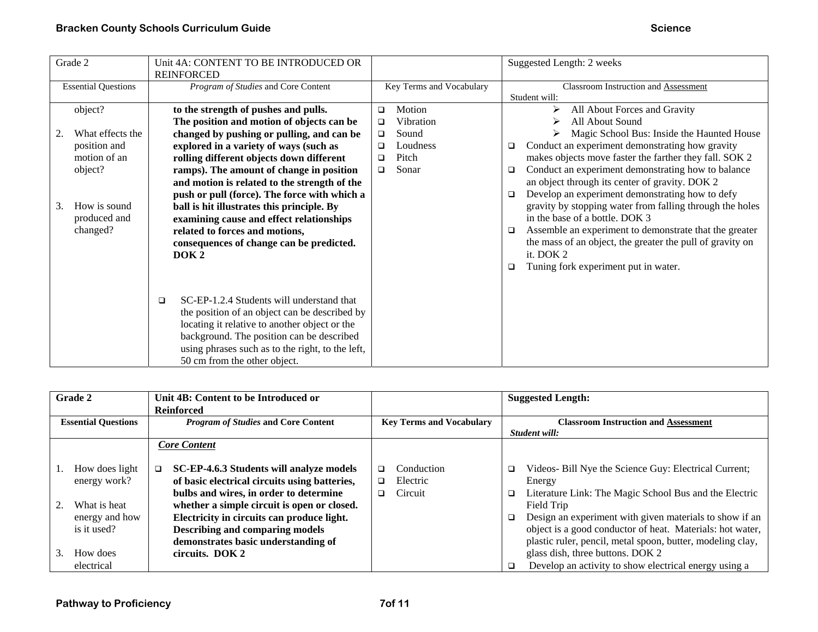| Grade 2                                                                | Unit 4A: CONTENT TO BE INTRODUCED OR<br><b>REINFORCED</b>                                                                                                                                                                                                                                                        |                                                                                                    | Suggested Length: 2 weeks                                                                                                                                                                                                                                                                                                                               |
|------------------------------------------------------------------------|------------------------------------------------------------------------------------------------------------------------------------------------------------------------------------------------------------------------------------------------------------------------------------------------------------------|----------------------------------------------------------------------------------------------------|---------------------------------------------------------------------------------------------------------------------------------------------------------------------------------------------------------------------------------------------------------------------------------------------------------------------------------------------------------|
| <b>Essential Questions</b>                                             | Program of Studies and Core Content                                                                                                                                                                                                                                                                              | Key Terms and Vocabulary                                                                           | Classroom Instruction and Assessment<br>Student will:                                                                                                                                                                                                                                                                                                   |
| object?<br>What effects the<br>position and<br>motion of an<br>object? | to the strength of pushes and pulls.<br>The position and motion of objects can be<br>changed by pushing or pulling, and can be<br>explored in a variety of ways (such as<br>rolling different objects down different<br>ramps). The amount of change in position<br>and motion is related to the strength of the | Motion<br>$\Box$<br>Vibration<br>□<br>Sound<br>$\Box$<br>Loudness<br>◻<br>Pitch<br>◻<br>Sonar<br>◻ | All About Forces and Gravity<br>⋗<br>All About Sound<br>Magic School Bus: Inside the Haunted House<br>Conduct an experiment demonstrating how gravity<br>$\Box$<br>makes objects move faster the farther they fall. SOK 2<br>Conduct an experiment demonstrating how to balance<br>$\Box$<br>an object through its center of gravity. DOK 2             |
| How is sound<br>3.<br>produced and<br>changed?                         | push or pull (force). The force with which a<br>ball is hit illustrates this principle. By<br>examining cause and effect relationships<br>related to forces and motions,<br>consequences of change can be predicted.<br>DOK <sub>2</sub>                                                                         |                                                                                                    | Develop an experiment demonstrating how to defy<br>$\Box$<br>gravity by stopping water from falling through the holes<br>in the base of a bottle. DOK 3<br>Assemble an experiment to demonstrate that the greater<br>$\Box$<br>the mass of an object, the greater the pull of gravity on<br>it. DOK 2<br>Tuning fork experiment put in water.<br>$\Box$ |
|                                                                        | SC-EP-1.2.4 Students will understand that<br>□<br>the position of an object can be described by<br>locating it relative to another object or the<br>background. The position can be described<br>using phrases such as to the right, to the left,<br>50 cm from the other object.                                |                                                                                                    |                                                                                                                                                                                                                                                                                                                                                         |

| Grade 2                    | Unit 4B: Content to be Introduced or               |                                 | <b>Suggested Length:</b>                                          |
|----------------------------|----------------------------------------------------|---------------------------------|-------------------------------------------------------------------|
|                            | <b>Reinforced</b>                                  |                                 |                                                                   |
| <b>Essential Questions</b> | <b>Program of Studies and Core Content</b>         | <b>Key Terms and Vocabulary</b> | <b>Classroom Instruction and Assessment</b>                       |
|                            |                                                    |                                 | Student will:                                                     |
|                            | <b>Core Content</b>                                |                                 |                                                                   |
|                            |                                                    |                                 |                                                                   |
| How does light             | SC-EP-4.6.3 Students will analyze models<br>$\Box$ | Conduction<br>◻                 | Videos- Bill Nye the Science Guy: Electrical Current;<br>◻        |
| energy work?               | of basic electrical circuits using batteries,      | Electric<br>$\Box$              | Energy                                                            |
|                            | bulbs and wires, in order to determine             | Circuit<br>□                    | Literature Link: The Magic School Bus and the Electric<br>$\Box$  |
| What is heat               | whether a simple circuit is open or closed.        |                                 | Field Trip                                                        |
| energy and how             | Electricity in circuits can produce light.         |                                 | Design an experiment with given materials to show if an<br>$\Box$ |
| is it used?                | <b>Describing and comparing models</b>             |                                 | object is a good conductor of heat. Materials: hot water,         |
|                            | demonstrates basic understanding of                |                                 | plastic ruler, pencil, metal spoon, butter, modeling clay,        |
| How does                   | circuits. DOK 2                                    |                                 | glass dish, three buttons. DOK 2                                  |
| electrical                 |                                                    |                                 | Develop an activity to show electrical energy using a<br>$\Box$   |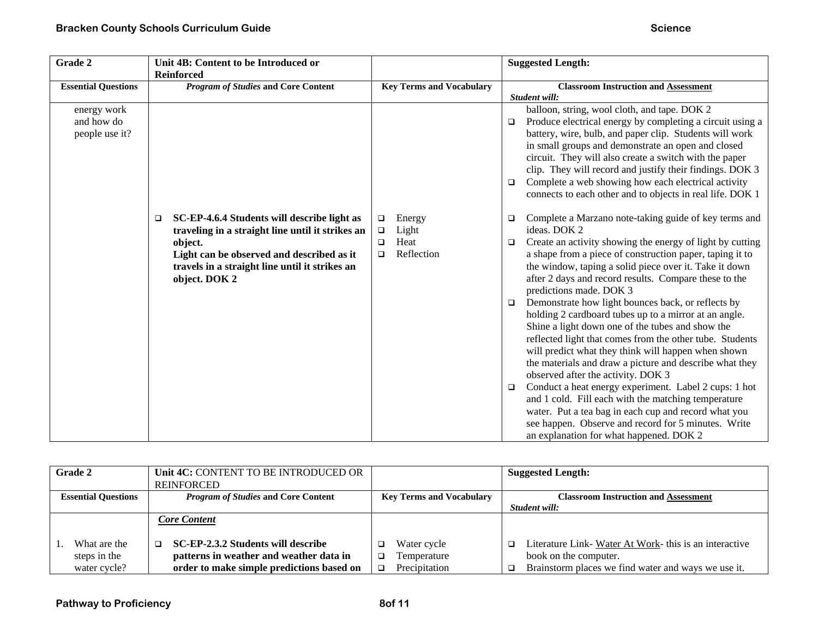| Grade 2                                     | Unit 4B: Content to be Introduced or<br><b>Reinforced</b>                                                                                                                                                                            |                                                                          | <b>Suggested Length:</b>                                                                                                                                                                                                                                                                                                                                                                                                                                                                                                                                                                                                                                                                                                                                                                                                                                                                                                                                                                                                                                                                                                                                                                                                                                                                                                                                                                                                                   |
|---------------------------------------------|--------------------------------------------------------------------------------------------------------------------------------------------------------------------------------------------------------------------------------------|--------------------------------------------------------------------------|--------------------------------------------------------------------------------------------------------------------------------------------------------------------------------------------------------------------------------------------------------------------------------------------------------------------------------------------------------------------------------------------------------------------------------------------------------------------------------------------------------------------------------------------------------------------------------------------------------------------------------------------------------------------------------------------------------------------------------------------------------------------------------------------------------------------------------------------------------------------------------------------------------------------------------------------------------------------------------------------------------------------------------------------------------------------------------------------------------------------------------------------------------------------------------------------------------------------------------------------------------------------------------------------------------------------------------------------------------------------------------------------------------------------------------------------|
| <b>Essential Questions</b>                  | <b>Program of Studies and Core Content</b>                                                                                                                                                                                           | <b>Key Terms and Vocabulary</b>                                          | <b>Classroom Instruction and Assessment</b><br>Student will:                                                                                                                                                                                                                                                                                                                                                                                                                                                                                                                                                                                                                                                                                                                                                                                                                                                                                                                                                                                                                                                                                                                                                                                                                                                                                                                                                                               |
| energy work<br>and how do<br>people use it? | SC-EP-4.6.4 Students will describe light as<br>$\Box$<br>traveling in a straight line until it strikes an<br>object.<br>Light can be observed and described as it<br>travels in a straight line until it strikes an<br>object. DOK 2 | Energy<br>$\Box$<br>Light<br>$\Box$<br>Heat<br>$\Box$<br>Reflection<br>□ | balloon, string, wool cloth, and tape. DOK 2<br>Produce electrical energy by completing a circuit using a<br>□<br>battery, wire, bulb, and paper clip. Students will work<br>in small groups and demonstrate an open and closed<br>circuit. They will also create a switch with the paper<br>clip. They will record and justify their findings. DOK 3<br>Complete a web showing how each electrical activity<br>$\Box$<br>connects to each other and to objects in real life. DOK 1<br>Complete a Marzano note-taking guide of key terms and<br>$\Box$<br>ideas. DOK 2<br>Create an activity showing the energy of light by cutting<br>$\Box$<br>a shape from a piece of construction paper, taping it to<br>the window, taping a solid piece over it. Take it down<br>after 2 days and record results. Compare these to the<br>predictions made. DOK 3<br>Demonstrate how light bounces back, or reflects by<br>$\Box$<br>holding 2 cardboard tubes up to a mirror at an angle.<br>Shine a light down one of the tubes and show the<br>reflected light that comes from the other tube. Students<br>will predict what they think will happen when shown<br>the materials and draw a picture and describe what they<br>observed after the activity. DOK 3<br>Conduct a heat energy experiment. Label 2 cups: 1 hot<br>$\Box$<br>and 1 cold. Fill each with the matching temperature<br>water. Put a tea bag in each cup and record what you |
|                                             |                                                                                                                                                                                                                                      |                                                                          | see happen. Observe and record for 5 minutes. Write<br>an explanation for what happened. DOK 2                                                                                                                                                                                                                                                                                                                                                                                                                                                                                                                                                                                                                                                                                                                                                                                                                                                                                                                                                                                                                                                                                                                                                                                                                                                                                                                                             |

| Grade 2                    | Unit 4C: CONTENT TO BE INTRODUCED OR<br>REINFORCED |                       | <b>Suggested Length:</b>                                    |  |
|----------------------------|----------------------------------------------------|-----------------------|-------------------------------------------------------------|--|
| <b>Essential Questions</b> | <b>Program of Studies and Core Content</b>         |                       | <b>Classroom Instruction and Assessment</b>                 |  |
|                            |                                                    |                       | Student will:                                               |  |
|                            | Core Content                                       |                       |                                                             |  |
| What are the               | SC-EP-2.3.2 Students will describe                 | Water cycle           | Literature Link-Water At Work- this is an interactive<br>o. |  |
| steps in the               | patterns in weather and weather data in            | Temperature<br>$\Box$ | book on the computer.                                       |  |
| water cycle?               | order to make simple predictions based on          | Precipitation         | Brainstorm places we find water and ways we use it.<br>□    |  |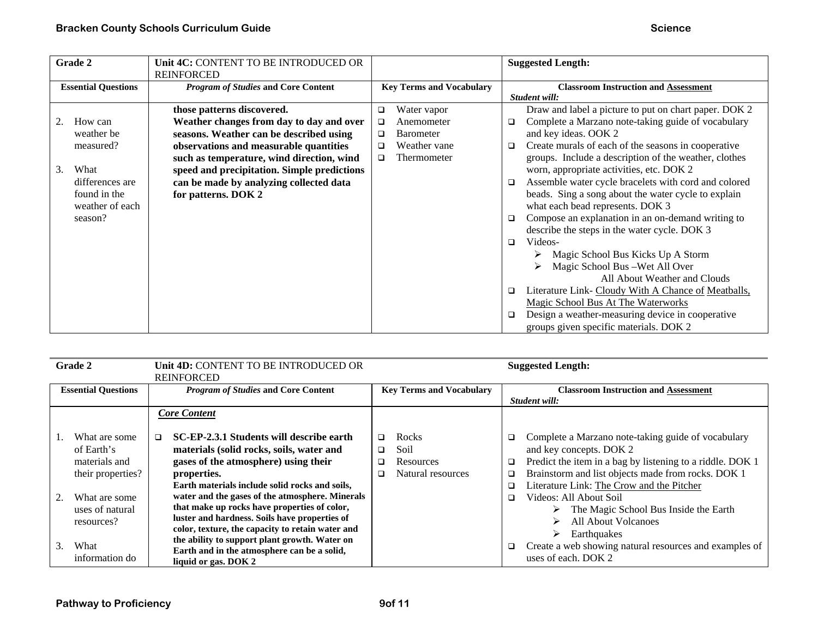| Grade 2                                                                                                                 | Unit 4C: CONTENT TO BE INTRODUCED OR<br><b>REINFORCED</b>                                                                                                                                                                                                                                                                 |                                                                                                                                | <b>Suggested Length:</b>                                                                                                                                                                                                                                                                                                                                                                                                                                                                                                                                                                                                                                                                                                                                                                                                                                                                                                              |
|-------------------------------------------------------------------------------------------------------------------------|---------------------------------------------------------------------------------------------------------------------------------------------------------------------------------------------------------------------------------------------------------------------------------------------------------------------------|--------------------------------------------------------------------------------------------------------------------------------|---------------------------------------------------------------------------------------------------------------------------------------------------------------------------------------------------------------------------------------------------------------------------------------------------------------------------------------------------------------------------------------------------------------------------------------------------------------------------------------------------------------------------------------------------------------------------------------------------------------------------------------------------------------------------------------------------------------------------------------------------------------------------------------------------------------------------------------------------------------------------------------------------------------------------------------|
| <b>Essential Questions</b>                                                                                              | <b>Program of Studies and Core Content</b>                                                                                                                                                                                                                                                                                | <b>Key Terms and Vocabulary</b>                                                                                                | <b>Classroom Instruction and Assessment</b><br>Student will:                                                                                                                                                                                                                                                                                                                                                                                                                                                                                                                                                                                                                                                                                                                                                                                                                                                                          |
| 2.<br>How can<br>weather be<br>measured?<br>3.<br>What<br>differences are<br>found in the<br>weather of each<br>season? | those patterns discovered.<br>Weather changes from day to day and over<br>seasons. Weather can be described using<br>observations and measurable quantities<br>such as temperature, wind direction, wind<br>speed and precipitation. Simple predictions<br>can be made by analyzing collected data<br>for patterns. DOK 2 | $\Box$<br>Water vapor<br>$\Box$<br>Anemometer<br>$\Box$<br><b>Barometer</b><br>$\Box$<br>Weather vane<br>$\Box$<br>Thermometer | Draw and label a picture to put on chart paper. DOK 2<br>Complete a Marzano note-taking guide of vocabulary<br>$\Box$<br>and key ideas. OOK 2<br>Create murals of each of the seasons in cooperative<br>$\Box$<br>groups. Include a description of the weather, clothes<br>worn, appropriate activities, etc. DOK 2<br>Assemble water cycle bracelets with cord and colored<br>$\Box$<br>beads. Sing a song about the water cycle to explain<br>what each bead represents. DOK 3<br>Compose an explanation in an on-demand writing to<br>$\Box$<br>describe the steps in the water cycle. DOK 3<br>Videos-<br>$\Box$<br>Magic School Bus Kicks Up A Storm<br>Magic School Bus - Wet All Over<br>⋗<br>All About Weather and Clouds<br>Literature Link-Cloudy With A Chance of Meatballs,<br>□<br>Magic School Bus At The Waterworks<br>Design a weather-measuring device in cooperative<br>□<br>groups given specific materials. DOK 2 |

| <b>Grade 2</b>             |                                                                          | Unit 4D: CONTENT TO BE INTRODUCED OR                                                                                                                                                                                                                                                                                         |                                 |                                                        | <b>Suggested Length:</b>                                     |                                                                                                                                                                                                                                               |
|----------------------------|--------------------------------------------------------------------------|------------------------------------------------------------------------------------------------------------------------------------------------------------------------------------------------------------------------------------------------------------------------------------------------------------------------------|---------------------------------|--------------------------------------------------------|--------------------------------------------------------------|-----------------------------------------------------------------------------------------------------------------------------------------------------------------------------------------------------------------------------------------------|
| <b>Essential Questions</b> |                                                                          | <b>REINFORCED</b><br><b>Program of Studies and Core Content</b>                                                                                                                                                                                                                                                              | <b>Key Terms and Vocabulary</b> |                                                        | <b>Classroom Instruction and Assessment</b><br>Student will: |                                                                                                                                                                                                                                               |
|                            |                                                                          | <b>Core Content</b>                                                                                                                                                                                                                                                                                                          |                                 |                                                        |                                                              |                                                                                                                                                                                                                                               |
|                            | What are some<br>of Earth's<br>materials and<br>their properties?        | SC-EP-2.3.1 Students will describe earth<br>$\Box$<br>materials (solid rocks, soils, water and<br>gases of the atmosphere) using their<br>properties.<br>Earth materials include solid rocks and soils,                                                                                                                      | ◻<br>□<br>◻                     | Rocks<br>Soil<br><b>Resources</b><br>Natural resources | ❏.<br>▫<br>□                                                 | Complete a Marzano note-taking guide of vocabulary<br>and key concepts. DOK 2<br>Predict the item in a bag by listening to a riddle. DOK 1<br>Brainstorm and list objects made from rocks. DOK 1<br>Literature Link: The Crow and the Pitcher |
| 3.                         | What are some<br>uses of natural<br>resources?<br>What<br>information do | water and the gases of the atmosphere. Minerals<br>that make up rocks have properties of color,<br>luster and hardness. Soils have properties of<br>color, texture, the capacity to retain water and<br>the ability to support plant growth. Water on<br>Earth and in the atmosphere can be a solid,<br>liquid or gas. DOK 2 |                                 |                                                        | ◻<br>❏.                                                      | Videos: All About Soil<br>The Magic School Bus Inside the Earth<br>➤<br>All About Volcanoes<br>Earthquakes<br>Create a web showing natural resources and examples of<br>uses of each. DOK 2                                                   |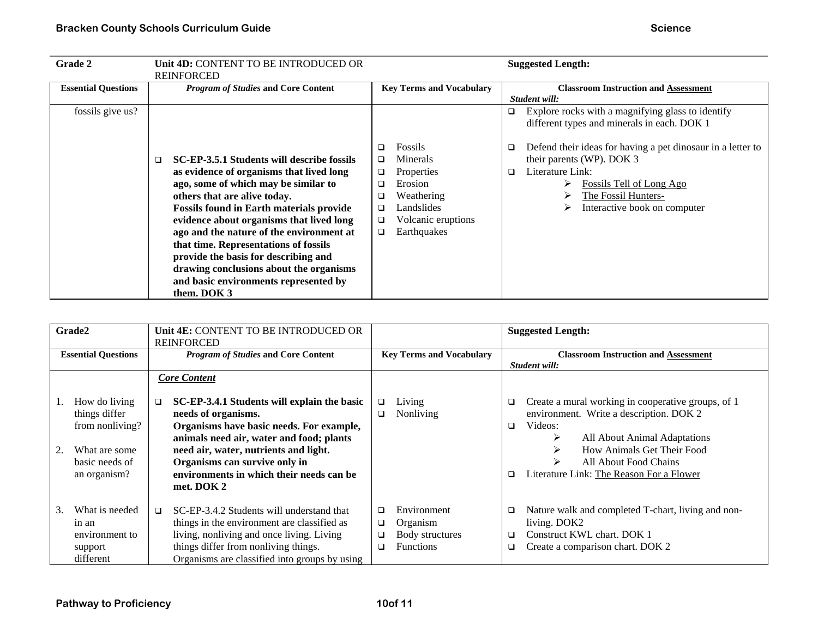| <b>Grade 2</b>             | Unit 4D: CONTENT TO BE INTRODUCED OR<br><b>REINFORCED</b>                                                                                                                                                                                                                                                                                                                                                                                                                                     |                                                                                                                                                    | <b>Suggested Length:</b>                                                                                                                                                                             |
|----------------------------|-----------------------------------------------------------------------------------------------------------------------------------------------------------------------------------------------------------------------------------------------------------------------------------------------------------------------------------------------------------------------------------------------------------------------------------------------------------------------------------------------|----------------------------------------------------------------------------------------------------------------------------------------------------|------------------------------------------------------------------------------------------------------------------------------------------------------------------------------------------------------|
| <b>Essential Questions</b> | <b>Program of Studies and Core Content</b>                                                                                                                                                                                                                                                                                                                                                                                                                                                    | <b>Key Terms and Vocabulary</b>                                                                                                                    | <b>Classroom Instruction and Assessment</b><br>Student will:                                                                                                                                         |
| fossils give us?           |                                                                                                                                                                                                                                                                                                                                                                                                                                                                                               |                                                                                                                                                    | Explore rocks with a magnifying glass to identify<br>different types and minerals in each. DOK 1                                                                                                     |
|                            | SC-EP-3.5.1 Students will describe fossils<br>as evidence of organisms that lived long<br>ago, some of which may be similar to<br>others that are alive today.<br><b>Fossils found in Earth materials provide</b><br>evidence about organisms that lived long<br>ago and the nature of the environment at<br>that time. Representations of fossils<br>provide the basis for describing and<br>drawing conclusions about the organisms<br>and basic environments represented by<br>them. DOK 3 | <b>Fossils</b><br>□<br>Minerals<br>Properties<br>❏<br>Erosion<br>◻<br>Weathering<br>Landslides<br>□<br>Volcanic eruptions<br>□<br>Earthquakes<br>□ | Defend their ideas for having a pet dinosaur in a letter to<br>their parents (WP). DOK 3<br>Literature Link:<br>□<br>Fossils Tell of Long Ago<br>The Fossil Hunters-<br>Interactive book on computer |

|                            | Grade2                                                                                               |        | Unit 4E: CONTENT TO BE INTRODUCED OR<br><b>REINFORCED</b>                                                                                                                                                                                                                                      |                       | <b>Suggested Length:</b>                                       |                                                              |                                                                                                                                                                                                                                                  |
|----------------------------|------------------------------------------------------------------------------------------------------|--------|------------------------------------------------------------------------------------------------------------------------------------------------------------------------------------------------------------------------------------------------------------------------------------------------|-----------------------|----------------------------------------------------------------|--------------------------------------------------------------|--------------------------------------------------------------------------------------------------------------------------------------------------------------------------------------------------------------------------------------------------|
| <b>Essential Questions</b> |                                                                                                      |        | <b>Program of Studies and Core Content</b>                                                                                                                                                                                                                                                     |                       | <b>Key Terms and Vocabulary</b>                                | <b>Classroom Instruction and Assessment</b><br>Student will: |                                                                                                                                                                                                                                                  |
|                            |                                                                                                      |        | <b>Core Content</b>                                                                                                                                                                                                                                                                            |                       |                                                                |                                                              |                                                                                                                                                                                                                                                  |
|                            | How do living<br>things differ<br>from nonliving?<br>What are some<br>basic needs of<br>an organism? | $\Box$ | SC-EP-3.4.1 Students will explain the basic<br>needs of organisms.<br>Organisms have basic needs. For example,<br>animals need air, water and food; plants<br>need air, water, nutrients and light.<br>Organisms can survive only in<br>environments in which their needs can be<br>met. DOK 2 | $\Box$<br>□           | Living<br>Nonliving                                            | ◻<br>□                                                       | Create a mural working in cooperative groups, of 1<br>environment. Write a description. DOK 2<br>Videos:<br>All About Animal Adaptations<br>⋗<br>How Animals Get Their Food<br>All About Food Chains<br>Literature Link: The Reason For a Flower |
| 3.                         | What is needed<br>in an<br>environment to<br>support<br>different                                    | $\Box$ | SC-EP-3.4.2 Students will understand that<br>things in the environment are classified as<br>living, nonliving and once living. Living<br>things differ from nonliving things.<br>Organisms are classified into groups by using                                                                 | ❏<br>$\Box$<br>□<br>◻ | Environment<br>Organism<br><b>Body structures</b><br>Functions | ❏<br>◻<br>❏                                                  | Nature walk and completed T-chart, living and non-<br>living. DOK2<br>Construct KWL chart. DOK 1<br>Create a comparison chart. DOK 2                                                                                                             |